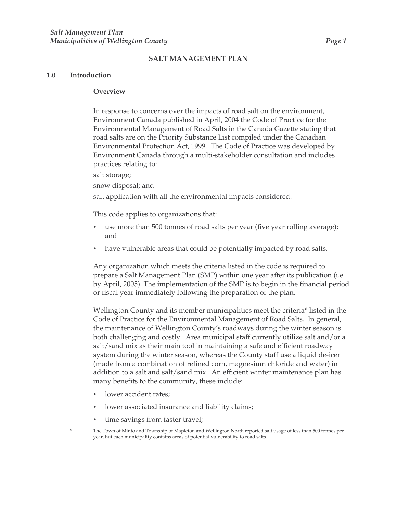#### **SALT MANAGEMENT PLAN**

#### **1.0 Introduction**

#### **Overview**

In response to concerns over the impacts of road salt on the environment, Environment Canada published in April, 2004 the Code of Practice for the Environmental Management of Road Salts in the Canada Gazette stating that road salts are on the Priority Substance List compiled under the Canadian Environmental Protection Act, 1999. The Code of Practice was developed by Environment Canada through a multi-stakeholder consultation and includes practices relating to:

salt storage;

snow disposal; and

salt application with all the environmental impacts considered.

This code applies to organizations that:

- use more than 500 tonnes of road salts per year (five year rolling average); and
- have vulnerable areas that could be potentially impacted by road salts.

Any organization which meets the criteria listed in the code is required to prepare a Salt Management Plan (SMP) within one year after its publication (i.e. by April, 2005). The implementation of the SMP is to begin in the financial period or fiscal year immediately following the preparation of the plan.

Wellington County and its member municipalities meet the criteria\* listed in the Code of Practice for the Environmental Management of Road Salts. In general, the maintenance of Wellington County's roadways during the winter season is both challenging and costly. Area municipal staff currently utilize salt and/or a salt/sand mix as their main tool in maintaining a safe and efficient roadway system during the winter season, whereas the County staff use a liquid de-icer (made from a combination of refined corn, magnesium chloride and water) in addition to a salt and salt/sand mix. An efficient winter maintenance plan has many benefits to the community, these include:

- lower accident rates;
- lower associated insurance and liability claims;
- time savings from faster travel;
- The Town of Minto and Township of Mapleton and Wellington North reported salt usage of less than 500 tonnes per year, but each municipality contains areas of potential vulnerability to road salts.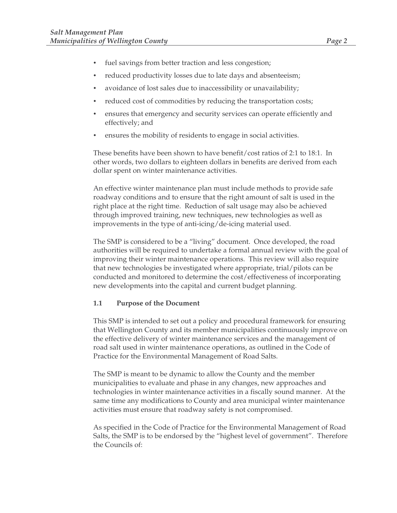- fuel savings from better traction and less congestion;
- reduced productivity losses due to late days and absenteeism;
- avoidance of lost sales due to inaccessibility or unavailability;
- reduced cost of commodities by reducing the transportation costs;
- ensures that emergency and security services can operate efficiently and effectively; and
- ensures the mobility of residents to engage in social activities.

These benefits have been shown to have benefit/cost ratios of 2:1 to 18:1. In other words, two dollars to eighteen dollars in benefits are derived from each dollar spent on winter maintenance activities.

An effective winter maintenance plan must include methods to provide safe roadway conditions and to ensure that the right amount of salt is used in the right place at the right time. Reduction of salt usage may also be achieved through improved training, new techniques, new technologies as well as improvements in the type of anti-icing/de-icing material used.

The SMP is considered to be a "living" document. Once developed, the road authorities will be required to undertake a formal annual review with the goal of improving their winter maintenance operations. This review will also require that new technologies be investigated where appropriate, trial/pilots can be conducted and monitored to determine the cost/effectiveness of incorporating new developments into the capital and current budget planning.

## **1.1 Purpose of the Document**

This SMP is intended to set out a policy and procedural framework for ensuring that Wellington County and its member municipalities continuously improve on the effective delivery of winter maintenance services and the management of road salt used in winter maintenance operations, as outlined in the Code of Practice for the Environmental Management of Road Salts.

The SMP is meant to be dynamic to allow the County and the member municipalities to evaluate and phase in any changes, new approaches and technologies in winter maintenance activities in a fiscally sound manner. At the same time any modifications to County and area municipal winter maintenance activities must ensure that roadway safety is not compromised.

As specified in the Code of Practice for the Environmental Management of Road Salts, the SMP is to be endorsed by the "highest level of government". Therefore the Councils of: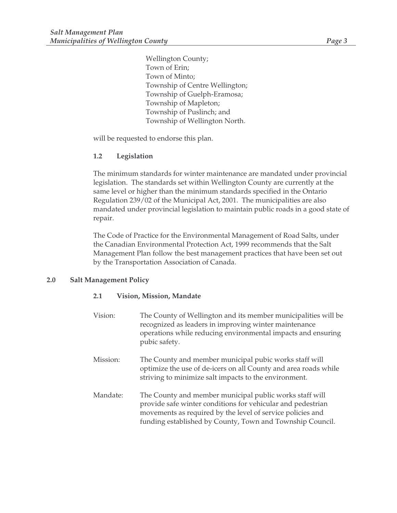Wellington County; Town of Erin; Town of Minto; Township of Centre Wellington; Township of Guelph-Eramosa; Township of Mapleton; Township of Puslinch; and Township of Wellington North.

will be requested to endorse this plan.

# **1.2 Legislation**

The minimum standards for winter maintenance are mandated under provincial legislation. The standards set within Wellington County are currently at the same level or higher than the minimum standards specified in the Ontario Regulation 239/02 of the Municipal Act, 2001. The municipalities are also mandated under provincial legislation to maintain public roads in a good state of repair.

The Code of Practice for the Environmental Management of Road Salts, under the Canadian Environmental Protection Act, 1999 recommends that the Salt Management Plan follow the best management practices that have been set out by the Transportation Association of Canada.

## **2.0 Salt Management Policy**

## **2.1 Vision, Mission, Mandate**

| Vision:  | The County of Wellington and its member municipalities will be<br>recognized as leaders in improving winter maintenance<br>operations while reducing environmental impacts and ensuring<br>pubic safety.                                          |
|----------|---------------------------------------------------------------------------------------------------------------------------------------------------------------------------------------------------------------------------------------------------|
| Mission: | The County and member municipal pubic works staff will<br>optimize the use of de-icers on all County and area roads while<br>striving to minimize salt impacts to the environment.                                                                |
| Mandate: | The County and member municipal public works staff will<br>provide safe winter conditions for vehicular and pedestrian<br>movements as required by the level of service policies and<br>funding established by County, Town and Township Council. |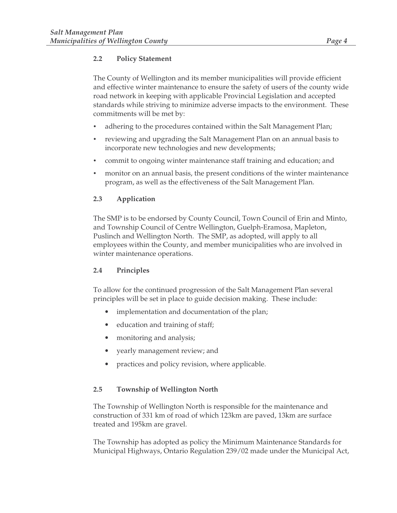# **2.2 Policy Statement**

The County of Wellington and its member municipalities will provide efficient and effective winter maintenance to ensure the safety of users of the county wide road network in keeping with applicable Provincial Legislation and accepted standards while striving to minimize adverse impacts to the environment. These commitments will be met by:

- adhering to the procedures contained within the Salt Management Plan;
- reviewing and upgrading the Salt Management Plan on an annual basis to incorporate new technologies and new developments;
- commit to ongoing winter maintenance staff training and education; and
- monitor on an annual basis, the present conditions of the winter maintenance program, as well as the effectiveness of the Salt Management Plan.

# **2.3 Application**

The SMP is to be endorsed by County Council, Town Council of Erin and Minto, and Township Council of Centre Wellington, Guelph-Eramosa, Mapleton, Puslinch and Wellington North. The SMP, as adopted, will apply to all employees within the County, and member municipalities who are involved in winter maintenance operations.

## **2.4 Principles**

To allow for the continued progression of the Salt Management Plan several principles will be set in place to guide decision making. These include:

- implementation and documentation of the plan;
- education and training of staff;
- monitoring and analysis;
- yearly management review; and
- practices and policy revision, where applicable.

## **2.5 Township of Wellington North**

The Township of Wellington North is responsible for the maintenance and construction of 331 km of road of which 123km are paved, 13km are surface treated and 195km are gravel.

The Township has adopted as policy the Minimum Maintenance Standards for Municipal Highways, Ontario Regulation 239/02 made under the Municipal Act,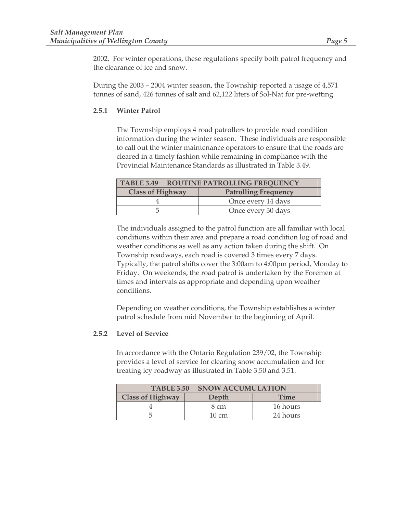2002. For winter operations, these regulations specify both patrol frequency and the clearance of ice and snow.

During the 2003 – 2004 winter season, the Township reported a usage of 4,571 tonnes of sand, 426 tonnes of salt and 62,122 liters of Sol-Nat for pre-wetting.

## **2.5.1 Winter Patrol**

The Township employs 4 road patrollers to provide road condition information during the winter season. These individuals are responsible to call out the winter maintenance operators to ensure that the roads are cleared in a timely fashion while remaining in compliance with the Provincial Maintenance Standards as illustrated in Table 3.49.

|                         | TABLE 3.49 ROUTINE PATROLLING FREQUENCY |
|-------------------------|-----------------------------------------|
| <b>Class of Highway</b> | <b>Patrolling Frequency</b>             |
|                         | Once every 14 days                      |
|                         | Once every 30 days                      |

The individuals assigned to the patrol function are all familiar with local conditions within their area and prepare a road condition log of road and weather conditions as well as any action taken during the shift. On Township roadways, each road is covered 3 times every 7 days. Typically, the patrol shifts cover the 3:00am to 4:00pm period, Monday to Friday. On weekends, the road patrol is undertaken by the Foremen at times and intervals as appropriate and depending upon weather conditions.

Depending on weather conditions, the Township establishes a winter patrol schedule from mid November to the beginning of April.

#### **2.5.2 Level of Service**

In accordance with the Ontario Regulation 239/02, the Township provides a level of service for clearing snow accumulation and for treating icy roadway as illustrated in Table 3.50 and 3.51.

| <b>TABLE 3.50</b>       | <b>SNOW ACCUMULATION</b> |             |
|-------------------------|--------------------------|-------------|
| <b>Class of Highway</b> | Depth                    | <b>Time</b> |
|                         | 8 cm                     | 16 hours    |
|                         | $10 \text{ cm}$          | 24 hours    |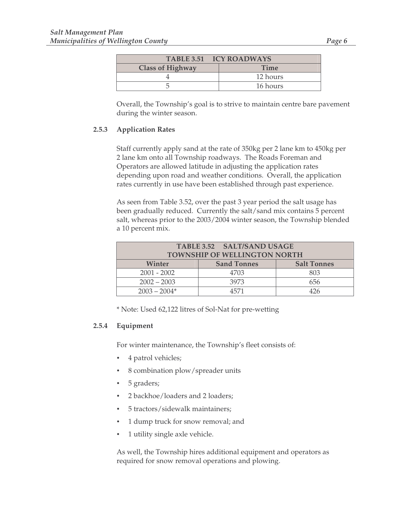| TABLE 3.51 ICY ROADWAYS |             |
|-------------------------|-------------|
| <b>Class of Highway</b> | <b>Time</b> |
|                         | 12 hours    |
|                         | 16 hours    |

Overall, the Township's goal is to strive to maintain centre bare pavement during the winter season.

## **2.5.3 Application Rates**

Staff currently apply sand at the rate of 350kg per 2 lane km to 450kg per 2 lane km onto all Township roadways. The Roads Foreman and Operators are allowed latitude in adjusting the application rates depending upon road and weather conditions. Overall, the application rates currently in use have been established through past experience.

As seen from Table 3.52, over the past 3 year period the salt usage has been gradually reduced. Currently the salt/sand mix contains 5 percent salt, whereas prior to the 2003/2004 winter season, the Township blended a 10 percent mix.

| <b>TABLE 3.52 SALT/SAND USAGE</b>   |                    |                    |  |  |  |  |
|-------------------------------------|--------------------|--------------------|--|--|--|--|
| <b>TOWNSHIP OF WELLINGTON NORTH</b> |                    |                    |  |  |  |  |
| Winter                              | <b>Sand Tonnes</b> | <b>Salt Tonnes</b> |  |  |  |  |
| $2001 - 2002$                       | 4703               | 803                |  |  |  |  |
| $2002 - 2003$                       | 3973               | 656                |  |  |  |  |
| $2003 - 2004*$                      | 1571               | 476                |  |  |  |  |

\* Note: Used 62,122 litres of Sol-Nat for pre-wetting

## **2.5.4 Equipment**

For winter maintenance, the Township's fleet consists of:

- 4 patrol vehicles;
- 8 combination plow/spreader units
- 5 graders;
- 2 backhoe/loaders and 2 loaders;
- 5 tractors/sidewalk maintainers;
- 1 dump truck for snow removal; and
- 1 utility single axle vehicle.

As well, the Township hires additional equipment and operators as required for snow removal operations and plowing.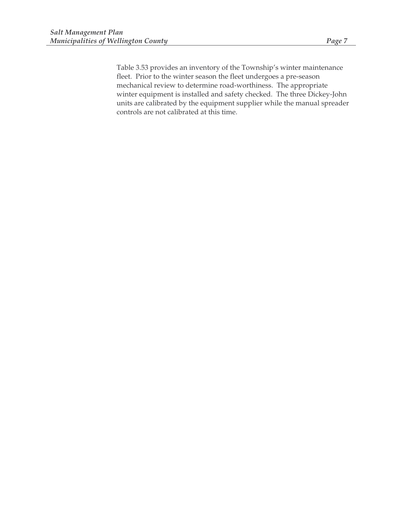Table 3.53 provides an inventory of the Township's winter maintenance fleet. Prior to the winter season the fleet undergoes a pre-season mechanical review to determine road-worthiness. The appropriate winter equipment is installed and safety checked. The three Dickey-John units are calibrated by the equipment supplier while the manual spreader controls are not calibrated at this time.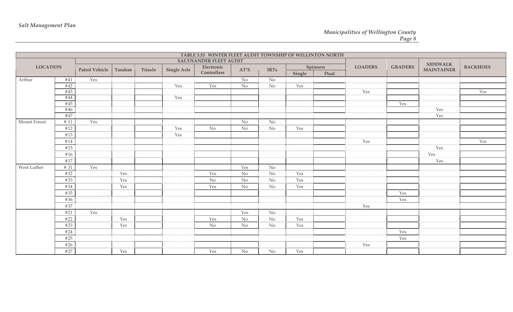|              |                                          |     |        |         |                    | TABLE 3.53 WINTER FLEET AUDIT TOWNSHIP OF WELLINTON NORTH |                  |                |        |          |                |                |                   |                 |
|--------------|------------------------------------------|-----|--------|---------|--------------------|-----------------------------------------------------------|------------------|----------------|--------|----------|----------------|----------------|-------------------|-----------------|
|              |                                          |     |        |         |                    | <b>SALT/SANDER FLEET AUDIT</b>                            |                  |                |        |          |                |                | <b>SIDEWALK</b>   |                 |
|              | <b>LOCATION</b><br><b>Patrol Vehicle</b> |     | Tandem | Triaxle | <b>Single Axle</b> | Electronic                                                | AT'S             | <b>IRTs</b>    |        | Spinners | <b>LOADERS</b> | <b>GRADERS</b> | <b>MAINTAINER</b> | <b>BACKHOES</b> |
|              |                                          |     |        |         |                    | Controllers                                               |                  |                | Single | Dual     |                |                |                   |                 |
| Arthur       | #41                                      | Yes |        |         |                    |                                                           | N <sub>o</sub>   | N <sub>o</sub> |        |          |                |                |                   |                 |
|              | $\overline{442}$                         |     |        |         | Yes                | Yes                                                       | $\overline{N_0}$ | N <sub>o</sub> | Yes    |          |                |                |                   |                 |
|              | #43                                      |     |        |         |                    |                                                           |                  |                |        |          | Yes            |                |                   | Yes             |
|              | #44                                      |     |        |         | Yes                |                                                           |                  |                |        |          |                |                |                   |                 |
|              | #45                                      |     |        |         |                    |                                                           |                  |                |        |          |                | Yes            |                   |                 |
|              | #46                                      |     |        |         |                    |                                                           |                  |                |        |          |                |                | Yes               |                 |
|              | #47                                      |     |        |         |                    |                                                           |                  |                |        |          |                |                | Yes               |                 |
| Mount Forest | # 11                                     | Yes |        |         |                    |                                                           | $\rm No$         | N <sub>o</sub> |        |          |                |                |                   |                 |
|              | #12                                      |     |        |         | Yes                | <b>No</b>                                                 | No               | No             | Yes    |          |                |                |                   |                 |
|              | #13                                      |     |        |         | Yes                |                                                           |                  |                |        |          |                |                |                   |                 |
|              | #14                                      |     |        |         |                    |                                                           |                  |                |        |          | Yes            |                |                   | Yes             |
|              | #15                                      |     |        |         |                    |                                                           |                  |                |        |          |                |                | Yes               |                 |
|              | #16                                      |     |        |         |                    |                                                           |                  |                |        |          |                |                | Yes               |                 |
|              | #17                                      |     |        |         |                    |                                                           |                  |                |        |          |                |                | Yes               |                 |
| West Luther  | # 31                                     | Yes |        |         |                    |                                                           | Yes              | $\rm No$       |        |          |                |                |                   |                 |
|              | #32                                      |     | Yes    |         |                    | Yes                                                       | No               | $\rm No$       | Yes    |          |                |                |                   |                 |
|              | #33                                      |     | Yes    |         |                    | <b>No</b>                                                 | <b>No</b>        | $\rm No$       | Yes    |          |                |                |                   |                 |
|              | #34                                      |     | Yes    |         |                    | Yes                                                       | <b>No</b>        | $\rm No$       | Yes    |          |                |                |                   |                 |
|              | #35                                      |     |        |         |                    |                                                           |                  |                |        |          |                | Yes            |                   |                 |
|              | #36                                      |     |        |         |                    |                                                           |                  |                |        |          |                | Yes            |                   |                 |
|              | #37                                      |     |        |         |                    |                                                           |                  |                |        |          | Yes            |                |                   |                 |
|              | #21                                      | Yes |        |         |                    |                                                           | Yes              | $\rm No$       |        |          |                |                |                   |                 |
|              | #22                                      |     | Yes    |         |                    | Yes                                                       | $\rm No$         | No             | Yes    |          |                |                |                   |                 |
|              | #23                                      |     | Yes    |         |                    | N <sub>o</sub>                                            | N <sub>o</sub>   | No             | Yes    |          |                |                |                   |                 |
|              | #24                                      |     |        |         |                    |                                                           |                  |                |        |          |                | Yes            |                   |                 |
|              |                                          |     |        |         |                    |                                                           |                  |                |        |          |                |                |                   |                 |
|              | #25                                      |     |        |         |                    |                                                           |                  |                |        |          |                | Yes            |                   |                 |
|              | #26                                      |     |        |         |                    |                                                           |                  |                |        |          | Yes            |                |                   |                 |
|              | #27                                      |     | Yes    |         |                    | Yes                                                       | N <sub>o</sub>   | No             | Yes    |          |                |                |                   |                 |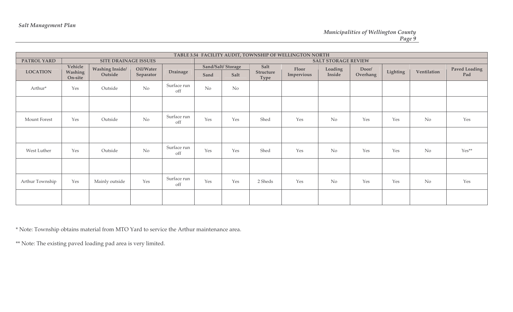|                 | TABLE 3.54 FACILITY AUDIT, TOWNSHIP OF WELLINGTON NORTH |                                   |                        |                    |                |                           |                           |                     |                            |                   |          |             |                             |
|-----------------|---------------------------------------------------------|-----------------------------------|------------------------|--------------------|----------------|---------------------------|---------------------------|---------------------|----------------------------|-------------------|----------|-------------|-----------------------------|
| PATROL YARD     |                                                         | <b>SITE DRAINAGE ISSUES</b>       |                        |                    |                |                           |                           |                     | <b>SALT STORAGE REVIEW</b> |                   |          |             |                             |
| <b>LOCATION</b> | Vehicle<br>Washing<br>On-site                           | <b>Washing Inside/</b><br>Outside | Oil/Water<br>Separator | Drainage           | Sand           | Sand/Salt/Storage<br>Salt | Salt<br>Structure<br>Type | Floor<br>Impervious | Loading<br>Inside          | Door/<br>Overhang | Lighting | Ventilation | <b>Paved Loading</b><br>Pad |
| Arthur*         | Yes                                                     | Outside                           | No                     | Surface run<br>off | N <sub>o</sub> | No                        |                           |                     |                            |                   |          |             |                             |
|                 |                                                         |                                   |                        |                    |                |                           |                           |                     |                            |                   |          |             |                             |
| Mount Forest    | Yes                                                     | Outside                           | No                     | Surface run<br>off | Yes            | Yes                       | Shed                      | Yes                 | N <sub>o</sub>             | Yes               | Yes      | No          | Yes                         |
|                 |                                                         |                                   |                        |                    |                |                           |                           |                     |                            |                   |          |             |                             |
| West Luther     | Yes                                                     | Outside                           | No                     | Surface run<br>off | Yes            | Yes                       | Shed                      | Yes                 | $\rm No$                   | Yes               | Yes      | No          | $Yes**$                     |
|                 |                                                         |                                   |                        |                    |                |                           |                           |                     |                            |                   |          |             |                             |
| Arthur Township | Yes                                                     | Mainly outside                    | Yes                    | Surface run<br>off | Yes            | Yes                       | 2 Sheds                   | Yes                 | No                         | Yes               | Yes      | No          | Yes                         |
|                 |                                                         |                                   |                        |                    |                |                           |                           |                     |                            |                   |          |             |                             |

\* Note: Township obtains material from MTO Yard to service the Arthur maintenance area.

\*\* Note: The existing paved loading pad area is very limited.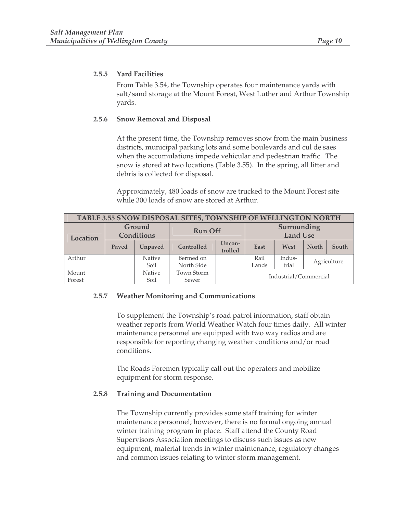#### **2.5.5 Yard Facilities**

From Table 3.54, the Township operates four maintenance yards with salt/sand storage at the Mount Forest, West Luther and Arthur Township yards.

#### **2.5.6 Snow Removal and Disposal**

At the present time, the Township removes snow from the main business districts, municipal parking lots and some boulevards and cul de saes when the accumulations impede vehicular and pedestrian traffic. The snow is stored at two locations (Table 3.55). In the spring, all litter and debris is collected for disposal.

Approximately, 480 loads of snow are trucked to the Mount Forest site while 300 loads of snow are stored at Arthur.

| TABLE 3.55 SNOW DISPOSAL SITES, TOWNSHIP OF WELLINGTON NORTH |                             |         |                |                                |                       |        |             |       |  |
|--------------------------------------------------------------|-----------------------------|---------|----------------|--------------------------------|-----------------------|--------|-------------|-------|--|
| Location                                                     | Ground<br><b>Conditions</b> |         | <b>Run Off</b> | Surrounding<br><b>Land Use</b> |                       |        |             |       |  |
|                                                              | Paved                       | Unpaved | Controlled     | Uncon-<br>trolled              | East<br>West          |        | North       | South |  |
| Arthur                                                       |                             | Native  | Bermed on      |                                | Rail                  | Indus- | Agriculture |       |  |
|                                                              |                             | Soil    | North Side     |                                | Lands                 | trial  |             |       |  |
| Mount                                                        |                             | Native  | Town Storm     |                                |                       |        |             |       |  |
| Forest                                                       |                             | Soil    | Sewer          |                                | Industrial/Commercial |        |             |       |  |

#### **2.5.7 Weather Monitoring and Communications**

To supplement the Township's road patrol information, staff obtain weather reports from World Weather Watch four times daily. All winter maintenance personnel are equipped with two way radios and are responsible for reporting changing weather conditions and/or road conditions.

The Roads Foremen typically call out the operators and mobilize equipment for storm response.

#### **2.5.8 Training and Documentation**

The Township currently provides some staff training for winter maintenance personnel; however, there is no formal ongoing annual winter training program in place. Staff attend the County Road Supervisors Association meetings to discuss such issues as new equipment, material trends in winter maintenance, regulatory changes and common issues relating to winter storm management.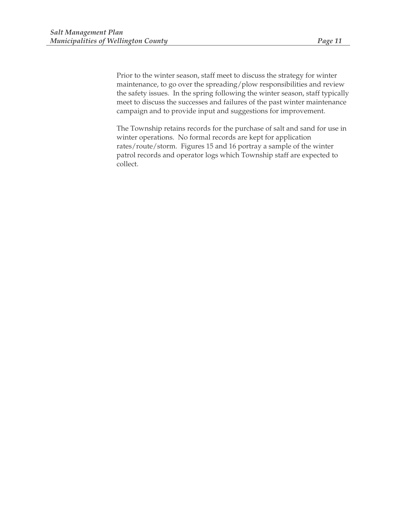Prior to the winter season, staff meet to discuss the strategy for winter maintenance, to go over the spreading/plow responsibilities and review the safety issues. In the spring following the winter season, staff typically meet to discuss the successes and failures of the past winter maintenance campaign and to provide input and suggestions for improvement.

The Township retains records for the purchase of salt and sand for use in winter operations. No formal records are kept for application rates/route/storm. Figures 15 and 16 portray a sample of the winter patrol records and operator logs which Township staff are expected to collect.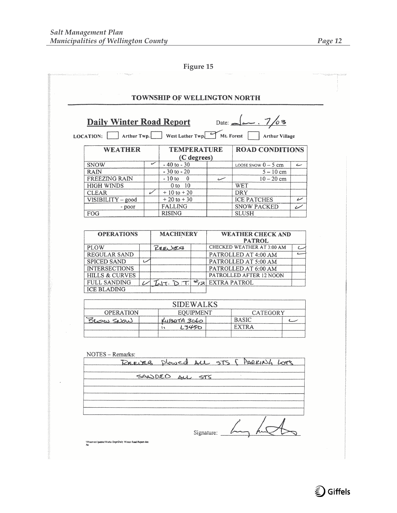| LOCATION:                                 | Arthur Twp. |   |                                  |                  |                                   | West Luther Twp Mt. Forest Arthur Village |                |
|-------------------------------------------|-------------|---|----------------------------------|------------------|-----------------------------------|-------------------------------------------|----------------|
| <b>WEATHER</b>                            |             |   | <b>TEMPERATURE</b>               | (C degrees)      |                                   | <b>ROAD CONDITIONS</b>                    |                |
| <b>SNOW</b>                               |             | س | $-40$ to $-30$                   |                  |                                   | LOOSE SNOW $0 - 5$ cm                     | سے             |
| <b>RAIN</b>                               |             |   | $-30$ to $-20$                   |                  |                                   | $5 - 10$ cm                               |                |
| <b>FREEZING RAIN</b>                      |             |   | $-10$ to 0                       |                  | سىمىت                             | $10 - 20$ cm                              |                |
| <b>HIGH WINDS</b>                         |             |   | 0 to 10                          |                  |                                   | <b>WET</b>                                |                |
| <b>CLEAR</b>                              |             | ✓ | $+10$ to $+20$                   |                  |                                   | <b>DRY</b>                                |                |
| VISIBILITY - good                         |             |   | $+20$ to $+30$                   |                  |                                   | <b>ICE PATCHES</b>                        | ↙              |
| - poor                                    |             |   | <b>FALLING</b>                   |                  |                                   | <b>SNOW PACKED</b>                        | ر              |
| FOG                                       |             |   | <b>RISING</b>                    |                  |                                   | <b>SLUSH</b>                              |                |
| <b>OPERATIONS</b>                         |             |   | <b>MACHINERY</b>                 |                  | <b>WEATHER CHECK AND</b>          |                                           |                |
| <b>PLOW</b>                               |             |   | REEURS                           |                  | <b>CHECKED WEATHER AT 3:00 AM</b> | ے                                         |                |
| REGULAR SAND                              |             |   |                                  |                  | PATROLLED AT 4:00 AM              | سه                                        |                |
| <b>SPICED SAND</b>                        | ب           |   |                                  |                  |                                   | PATROLLED AT 5:00 AM                      |                |
| <b>INTERSECTIONS</b>                      |             |   |                                  |                  | PATROLLED AT 6:00 AM              |                                           |                |
| <b>HILLS &amp; CURVES</b>                 |             |   |                                  |                  | PATROLLED AFTER 12 NOON           |                                           |                |
| <b>FULL SANDING</b><br><b>ICE BLADING</b> |             |   | $Lut.$ $\triangleright$ $\tau$ . | $#_{12}$         | <b>EXTRA PATROL</b>               |                                           |                |
|                                           |             |   | <b>SIDEWALKS</b>                 |                  |                                   |                                           |                |
| <b>OPERATION</b>                          |             |   |                                  | <b>EQUIPMENT</b> |                                   | <b>CATEGORY</b>                           |                |
| BLOW SIDW                                 |             |   | KUBOTA 3060                      |                  |                                   | <b>BASIC</b>                              | سا             |
|                                           |             |   | w                                | L3450            |                                   | <b>EXTRA</b>                              |                |
|                                           |             |   |                                  |                  |                                   |                                           |                |
| NOTES - Remarks:                          |             |   |                                  |                  |                                   |                                           |                |
| REELER                                    |             |   |                                  |                  |                                   |                                           | $L_{\text{C}}$ |
|                                           |             |   |                                  |                  |                                   |                                           |                |
|                                           |             |   | SANDEO                           | 575              |                                   |                                           |                |
|                                           |             |   |                                  |                  |                                   |                                           |                |
|                                           |             |   |                                  |                  |                                   |                                           |                |
|                                           |             |   |                                  |                  |                                   |                                           |                |
|                                           |             |   |                                  |                  |                                   |                                           |                |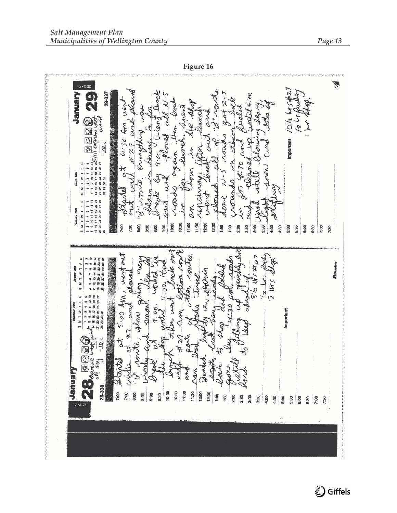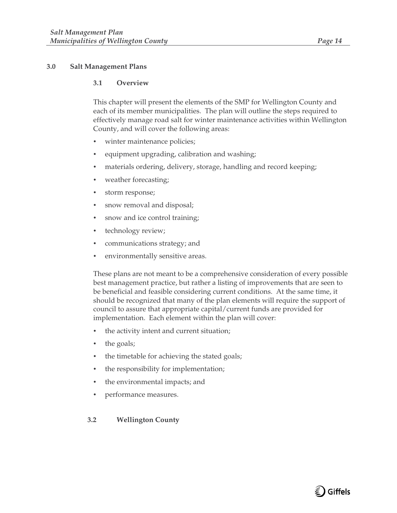#### **3.1 Overview**

This chapter will present the elements of the SMP for Wellington County and each of its member municipalities. The plan will outline the steps required to effectively manage road salt for winter maintenance activities within Wellington County, and will cover the following areas:

- winter maintenance policies;
- equipment upgrading, calibration and washing;
- materials ordering, delivery, storage, handling and record keeping;
- weather forecasting;
- storm response;
- snow removal and disposal;
- snow and ice control training;
- technology review;
- communications strategy; and
- environmentally sensitive areas.

These plans are not meant to be a comprehensive consideration of every possible best management practice, but rather a listing of improvements that are seen to be beneficial and feasible considering current conditions. At the same time, it should be recognized that many of the plan elements will require the support of council to assure that appropriate capital/current funds are provided for implementation. Each element within the plan will cover:

- the activity intent and current situation;
- the goals;
- the timetable for achieving the stated goals;
- the responsibility for implementation;
- the environmental impacts; and
- performance measures.

#### **3.2 Wellington County**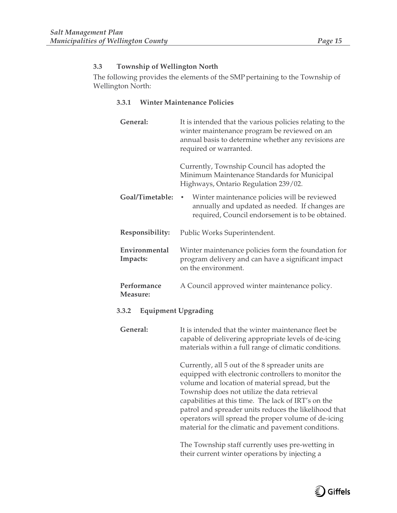# **3.3 Township of Wellington North**

The following provides the elements of the SMP pertaining to the Township of Wellington North:

#### **3.3.1 Winter Maintenance Policies**

| General:                            | It is intended that the various policies relating to the<br>winter maintenance program be reviewed on an<br>annual basis to determine whether any revisions are<br>required or warranted.                                                                                                                                                                                                                                               |  |  |  |  |  |  |
|-------------------------------------|-----------------------------------------------------------------------------------------------------------------------------------------------------------------------------------------------------------------------------------------------------------------------------------------------------------------------------------------------------------------------------------------------------------------------------------------|--|--|--|--|--|--|
|                                     | Currently, Township Council has adopted the<br>Minimum Maintenance Standards for Municipal<br>Highways, Ontario Regulation 239/02.                                                                                                                                                                                                                                                                                                      |  |  |  |  |  |  |
| Goal/Timetable:                     | Winter maintenance policies will be reviewed<br>٠<br>annually and updated as needed. If changes are<br>required, Council endorsement is to be obtained.                                                                                                                                                                                                                                                                                 |  |  |  |  |  |  |
| Responsibility:                     | Public Works Superintendent.                                                                                                                                                                                                                                                                                                                                                                                                            |  |  |  |  |  |  |
| Environmental<br>Impacts:           | Winter maintenance policies form the foundation for<br>program delivery and can have a significant impact<br>on the environment.                                                                                                                                                                                                                                                                                                        |  |  |  |  |  |  |
| Performance<br>Measure:             | A Council approved winter maintenance policy.                                                                                                                                                                                                                                                                                                                                                                                           |  |  |  |  |  |  |
| <b>Equipment Upgrading</b><br>3.3.2 |                                                                                                                                                                                                                                                                                                                                                                                                                                         |  |  |  |  |  |  |
| General:                            | It is intended that the winter maintenance fleet be<br>capable of delivering appropriate levels of de-icing<br>materials within a full range of climatic conditions.                                                                                                                                                                                                                                                                    |  |  |  |  |  |  |
|                                     | Currently, all 5 out of the 8 spreader units are<br>equipped with electronic controllers to monitor the<br>volume and location of material spread, but the<br>Township does not utilize the data retrieval<br>capabilities at this time. The lack of IRT's on the<br>patrol and spreader units reduces the likelihood that<br>operators will spread the proper volume of de-icing<br>material for the climatic and pavement conditions. |  |  |  |  |  |  |
|                                     | The Tourpelin staff querently uses are visiting in                                                                                                                                                                                                                                                                                                                                                                                      |  |  |  |  |  |  |

The Township staff currently uses pre-wetting in their current winter operations by injecting a

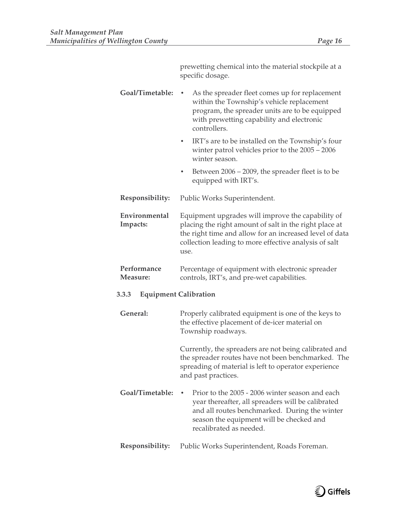|                           | prewetting chemical into the material stockpile at a<br>specific dosage.                                                                                                                                                                |  |  |  |  |  |  |  |
|---------------------------|-----------------------------------------------------------------------------------------------------------------------------------------------------------------------------------------------------------------------------------------|--|--|--|--|--|--|--|
| Goal/Timetable:           | As the spreader fleet comes up for replacement<br>within the Township's vehicle replacement<br>program, the spreader units are to be equipped<br>with prewetting capability and electronic<br>controllers.                              |  |  |  |  |  |  |  |
|                           | IRT's are to be installed on the Township's four<br>$\bullet$<br>winter patrol vehicles prior to the $2005 - 2006$<br>winter season.                                                                                                    |  |  |  |  |  |  |  |
|                           | Between $2006 - 2009$ , the spreader fleet is to be<br>٠<br>equipped with IRT's.                                                                                                                                                        |  |  |  |  |  |  |  |
| Responsibility:           | Public Works Superintendent.                                                                                                                                                                                                            |  |  |  |  |  |  |  |
| Environmental<br>Impacts: | Equipment upgrades will improve the capability of<br>placing the right amount of salt in the right place at<br>the right time and allow for an increased level of data<br>collection leading to more effective analysis of salt<br>use. |  |  |  |  |  |  |  |
| Performance<br>Measure:   | Percentage of equipment with electronic spreader<br>controls, IRT's, and pre-wet capabilities.                                                                                                                                          |  |  |  |  |  |  |  |
| 3.3.3                     | <b>Equipment Calibration</b>                                                                                                                                                                                                            |  |  |  |  |  |  |  |
| General:                  | Properly calibrated equipment is one of the keys to<br>the effective placement of de-icer material on<br>Township roadways.                                                                                                             |  |  |  |  |  |  |  |
|                           | Currently, the spreaders are not being calibrated and<br>the spreader routes have not been benchmarked. The<br>spreading of material is left to operator experience<br>and past practices.                                              |  |  |  |  |  |  |  |
| Goal/Timetable:           | Prior to the 2005 - 2006 winter season and each<br>year thereafter, all spreaders will be calibrated<br>and all routes benchmarked. During the winter<br>season the equipment will be checked and<br>recalibrated as needed.            |  |  |  |  |  |  |  |
| Responsibility:           | Public Works Superintendent, Roads Foreman.                                                                                                                                                                                             |  |  |  |  |  |  |  |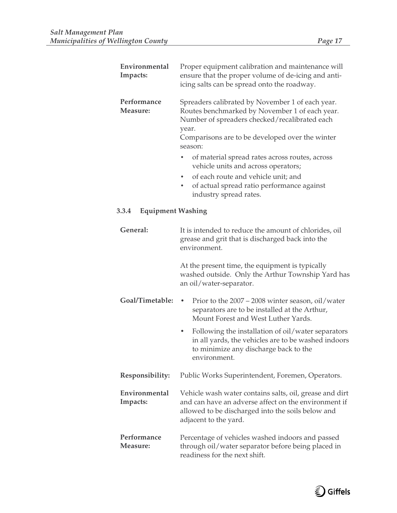| Environmental<br>Impacts:         | Proper equipment calibration and maintenance will<br>ensure that the proper volume of de-icing and anti-<br>icing salts can be spread onto the roadway.                                                                                                                                                                                                                                                                                 |  |  |  |  |  |
|-----------------------------------|-----------------------------------------------------------------------------------------------------------------------------------------------------------------------------------------------------------------------------------------------------------------------------------------------------------------------------------------------------------------------------------------------------------------------------------------|--|--|--|--|--|
| Performance<br><b>Measure:</b>    | Spreaders calibrated by November 1 of each year.<br>Routes benchmarked by November 1 of each year.<br>Number of spreaders checked/recalibrated each<br>year.<br>Comparisons are to be developed over the winter<br>season:<br>of material spread rates across routes, across<br>vehicle units and across operators;<br>of each route and vehicle unit; and<br>of actual spread ratio performance against<br>٠<br>industry spread rates. |  |  |  |  |  |
| <b>Equipment Washing</b><br>3.3.4 |                                                                                                                                                                                                                                                                                                                                                                                                                                         |  |  |  |  |  |
| General:                          | It is intended to reduce the amount of chlorides, oil<br>grease and grit that is discharged back into the<br>environment.<br>At the present time, the equipment is typically<br>washed outside. Only the Arthur Township Yard has                                                                                                                                                                                                       |  |  |  |  |  |
|                                   | an oil/water-separator.                                                                                                                                                                                                                                                                                                                                                                                                                 |  |  |  |  |  |
| Goal/Timetable:                   | Prior to the 2007 – 2008 winter season, oil/water<br>$\bullet$<br>separators are to be installed at the Arthur,<br>Mount Forest and West Luther Yards.                                                                                                                                                                                                                                                                                  |  |  |  |  |  |
|                                   | Following the installation of oil/water separators<br>$\bullet$<br>in all yards, the vehicles are to be washed indoors<br>to minimize any discharge back to the<br>environment.                                                                                                                                                                                                                                                         |  |  |  |  |  |
| Responsibility:                   | Public Works Superintendent, Foremen, Operators.                                                                                                                                                                                                                                                                                                                                                                                        |  |  |  |  |  |
| Environmental<br>Impacts:         | Vehicle wash water contains salts, oil, grease and dirt<br>and can have an adverse affect on the environment if<br>allowed to be discharged into the soils below and<br>adjacent to the yard.                                                                                                                                                                                                                                           |  |  |  |  |  |
| Performance<br>Measure:           | Percentage of vehicles washed indoors and passed<br>through oil/water separator before being placed in<br>readiness for the next shift.                                                                                                                                                                                                                                                                                                 |  |  |  |  |  |



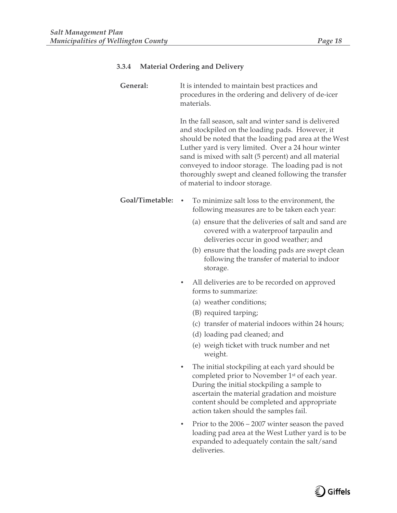| 3.3.4 |  | <b>Material Ordering and Delivery</b> |  |  |
|-------|--|---------------------------------------|--|--|
|-------|--|---------------------------------------|--|--|

| General:        | It is intended to maintain best practices and<br>procedures in the ordering and delivery of de-icer<br>materials.                                                                                                                                                                                                                                                                                                              |
|-----------------|--------------------------------------------------------------------------------------------------------------------------------------------------------------------------------------------------------------------------------------------------------------------------------------------------------------------------------------------------------------------------------------------------------------------------------|
|                 | In the fall season, salt and winter sand is delivered<br>and stockpiled on the loading pads. However, it<br>should be noted that the loading pad area at the West<br>Luther yard is very limited. Over a 24 hour winter<br>sand is mixed with salt (5 percent) and all material<br>conveyed to indoor storage. The loading pad is not<br>thoroughly swept and cleaned following the transfer<br>of material to indoor storage. |
| Goal/Timetable: | To minimize salt loss to the environment, the<br>following measures are to be taken each year:                                                                                                                                                                                                                                                                                                                                 |
|                 | (a) ensure that the deliveries of salt and sand are<br>covered with a waterproof tarpaulin and<br>deliveries occur in good weather; and<br>(b) ensure that the loading pads are swept clean<br>following the transfer of material to indoor<br>storage.                                                                                                                                                                        |
|                 | All deliveries are to be recorded on approved<br>forms to summarize:<br>(a) weather conditions;<br>(B) required tarping;<br>(c) transfer of material indoors within 24 hours;<br>(d) loading pad cleaned; and<br>(e) weigh ticket with truck number and net<br>weight.                                                                                                                                                         |
|                 | The initial stockpiling at each yard should be<br>completed prior to November 1st of each year.<br>During the initial stockpiling a sample to<br>ascertain the material gradation and moisture<br>content should be completed and appropriate<br>action taken should the samples fail.                                                                                                                                         |
|                 | Prior to the 2006 - 2007 winter season the paved<br>٠<br>loading pad area at the West Luther yard is to be<br>expanded to adequately contain the salt/sand<br>deliveries.                                                                                                                                                                                                                                                      |

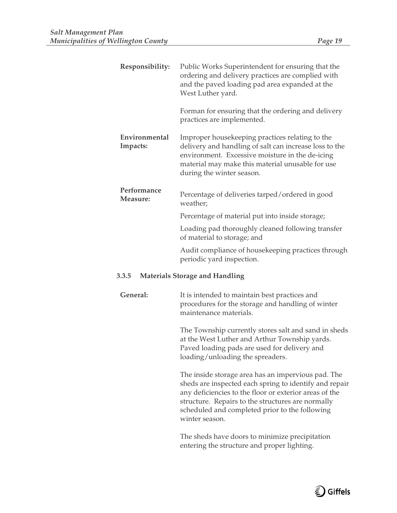| Responsibility:           | Public Works Superintendent for ensuring that the<br>ordering and delivery practices are complied with<br>and the paved loading pad area expanded at the<br>West Luther yard.                                                                 |
|---------------------------|-----------------------------------------------------------------------------------------------------------------------------------------------------------------------------------------------------------------------------------------------|
|                           | Forman for ensuring that the ordering and delivery<br>practices are implemented.                                                                                                                                                              |
| Environmental<br>Impacts: | Improper housekeeping practices relating to the<br>delivery and handling of salt can increase loss to the<br>environment. Excessive moisture in the de-icing<br>material may make this material unusable for use<br>during the winter season. |
| Performance<br>Measure:   | Percentage of deliveries tarped/ordered in good<br>weather;                                                                                                                                                                                   |
|                           | Percentage of material put into inside storage;                                                                                                                                                                                               |
|                           | Loading pad thoroughly cleaned following transfer<br>of material to storage; and                                                                                                                                                              |
|                           | Audit compliance of housekeeping practices through<br>periodic yard inspection.                                                                                                                                                               |
| 3.3.5                     | <b>Materials Storage and Handling</b>                                                                                                                                                                                                         |

**General:** It is intended to maintain best practices and procedures for the storage and handling of winter maintenance materials.

> The Township currently stores salt and sand in sheds at the West Luther and Arthur Township yards. Paved loading pads are used for delivery and loading/unloading the spreaders.

> The inside storage area has an impervious pad. The sheds are inspected each spring to identify and repair any deficiencies to the floor or exterior areas of the structure. Repairs to the structures are normally scheduled and completed prior to the following winter season.

The sheds have doors to minimize precipitation entering the structure and proper lighting.

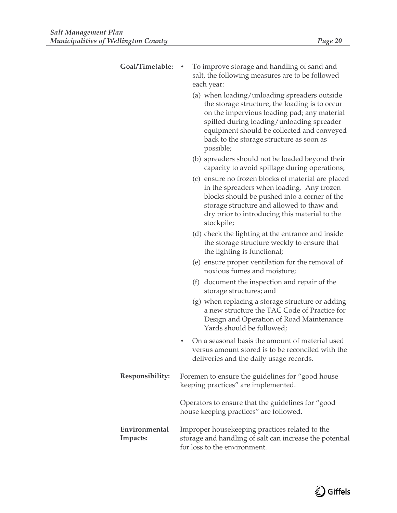| Goal/Timetable:           | To improve storage and handling of sand and<br>salt, the following measures are to be followed<br>each year:                                                                                                                                                                                      |
|---------------------------|---------------------------------------------------------------------------------------------------------------------------------------------------------------------------------------------------------------------------------------------------------------------------------------------------|
|                           | (a) when loading/unloading spreaders outside<br>the storage structure, the loading is to occur<br>on the impervious loading pad; any material<br>spilled during loading/unloading spreader<br>equipment should be collected and conveyed<br>back to the storage structure as soon as<br>possible; |
|                           | (b) spreaders should not be loaded beyond their<br>capacity to avoid spillage during operations;                                                                                                                                                                                                  |
|                           | (c) ensure no frozen blocks of material are placed<br>in the spreaders when loading. Any frozen<br>blocks should be pushed into a corner of the<br>storage structure and allowed to thaw and<br>dry prior to introducing this material to the<br>stockpile;                                       |
|                           | (d) check the lighting at the entrance and inside<br>the storage structure weekly to ensure that<br>the lighting is functional;                                                                                                                                                                   |
|                           | (e) ensure proper ventilation for the removal of<br>noxious fumes and moisture;                                                                                                                                                                                                                   |
|                           | (f) document the inspection and repair of the<br>storage structures; and                                                                                                                                                                                                                          |
|                           | (g) when replacing a storage structure or adding<br>a new structure the TAC Code of Practice for<br>Design and Operation of Road Maintenance<br>Yards should be followed;                                                                                                                         |
|                           | On a seasonal basis the amount of material used<br>versus amount stored is to be reconciled with the<br>deliveries and the daily usage records.                                                                                                                                                   |
| Responsibility:           | Foremen to ensure the guidelines for "good house<br>keeping practices" are implemented.                                                                                                                                                                                                           |
|                           | Operators to ensure that the guidelines for "good<br>house keeping practices" are followed.                                                                                                                                                                                                       |
| Environmental<br>Impacts: | Improper house keeping practices related to the<br>storage and handling of salt can increase the potential<br>for loss to the environment.                                                                                                                                                        |

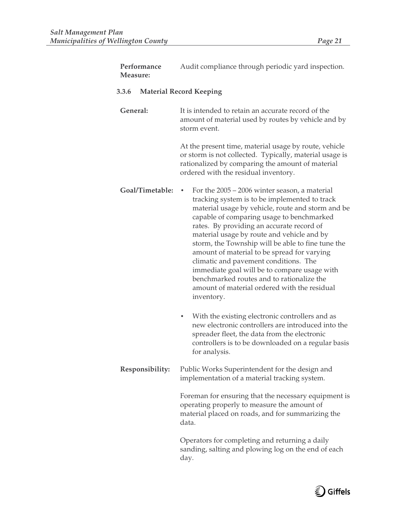| Performance<br>Measure: | Audit compliance through periodic yard inspection.                                                                                                                                                                                                                                                                                                                                                                                                                                                                                                                                                         |
|-------------------------|------------------------------------------------------------------------------------------------------------------------------------------------------------------------------------------------------------------------------------------------------------------------------------------------------------------------------------------------------------------------------------------------------------------------------------------------------------------------------------------------------------------------------------------------------------------------------------------------------------|
| 3.3.6                   | <b>Material Record Keeping</b>                                                                                                                                                                                                                                                                                                                                                                                                                                                                                                                                                                             |
| General:                | It is intended to retain an accurate record of the<br>amount of material used by routes by vehicle and by<br>storm event.                                                                                                                                                                                                                                                                                                                                                                                                                                                                                  |
|                         | At the present time, material usage by route, vehicle<br>or storm is not collected. Typically, material usage is<br>rationalized by comparing the amount of material<br>ordered with the residual inventory.                                                                                                                                                                                                                                                                                                                                                                                               |
| Goal/Timetable:         | For the $2005 - 2006$ winter season, a material<br>٠<br>tracking system is to be implemented to track<br>material usage by vehicle, route and storm and be<br>capable of comparing usage to benchmarked<br>rates. By providing an accurate record of<br>material usage by route and vehicle and by<br>storm, the Township will be able to fine tune the<br>amount of material to be spread for varying<br>climatic and pavement conditions. The<br>immediate goal will be to compare usage with<br>benchmarked routes and to rationalize the<br>amount of material ordered with the residual<br>inventory. |
|                         | With the existing electronic controllers and as<br>٠<br>new electronic controllers are introduced into the<br>spreader fleet, the data from the electronic<br>controllers is to be downloaded on a regular basis<br>for analysis.                                                                                                                                                                                                                                                                                                                                                                          |
| Responsibility:         | Public Works Superintendent for the design and<br>implementation of a material tracking system.                                                                                                                                                                                                                                                                                                                                                                                                                                                                                                            |
|                         | Foreman for ensuring that the necessary equipment is<br>operating properly to measure the amount of<br>material placed on roads, and for summarizing the<br>data.                                                                                                                                                                                                                                                                                                                                                                                                                                          |
|                         | Operators for completing and returning a daily<br>sanding, salting and plowing log on the end of each<br>day.                                                                                                                                                                                                                                                                                                                                                                                                                                                                                              |

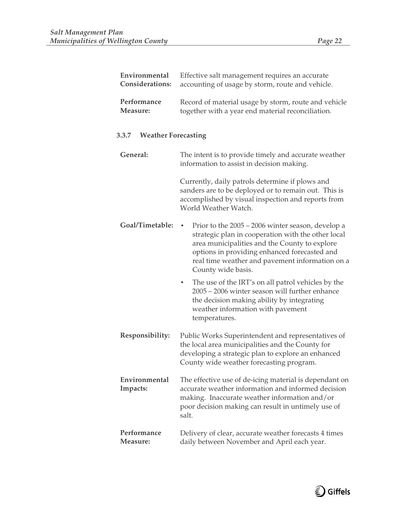**Environmental Considerations:**

**Performance Measure:**

**3.3.7 Weather Forecasting**

**General:** The intent

| Effective salt management requires an accurate<br>accounting of usage by storm, route and vehicle.                                                                                    |
|---------------------------------------------------------------------------------------------------------------------------------------------------------------------------------------|
| Record of material usage by storm, route and vehicle<br>together with a year end material reconciliation.                                                                             |
| ecasting                                                                                                                                                                              |
| The intent is to provide timely and accurate weather<br>information to assist in decision making.                                                                                     |
| Currently, daily patrols determine if plows and<br>sanders are to be deployed or to remain out. This is<br>accomplished by visual inspection and reports from<br>World Weather Watch. |
| Prior to the 2005 – 2006 winter season develop a                                                                                                                                      |

- Goal/Timetable: Prior to the 2005 2006 winter season, develop a strategic plan in cooperation with the other local area municipalities and the County to explore options in providing enhanced forecasted and real time weather and pavement information on a County wide basis.
	- The use of the IRT's on all patrol vehicles by the 2005 – 2006 winter season will further enhance the decision making ability by integrating weather information with pavement temperatures.
- **Responsibility:** Public Works Superintendent and representatives of the local area municipalities and the County for developing a strategic plan to explore an enhanced County wide weather forecasting program.
- **Environmental Impacts:** The effective use of de-icing material is dependant on accurate weather information and informed decision making. Inaccurate weather information and/or poor decision making can result in untimely use of salt.
- **Performance Measure:** Delivery of clear, accurate weather forecasts 4 times daily between November and April each year.

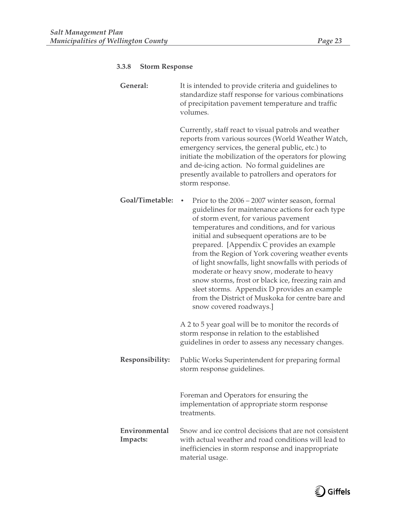| General:                  | It is intended to provide criteria and guidelines to<br>standardize staff response for various combinations<br>of precipitation pavement temperature and traffic<br>volumes.                                                                                                                                                                                                                                                                                                                                                                                                                                                       |
|---------------------------|------------------------------------------------------------------------------------------------------------------------------------------------------------------------------------------------------------------------------------------------------------------------------------------------------------------------------------------------------------------------------------------------------------------------------------------------------------------------------------------------------------------------------------------------------------------------------------------------------------------------------------|
|                           | Currently, staff react to visual patrols and weather<br>reports from various sources (World Weather Watch,<br>emergency services, the general public, etc.) to<br>initiate the mobilization of the operators for plowing<br>and de-icing action. No formal guidelines are<br>presently available to patrollers and operators for<br>storm response.                                                                                                                                                                                                                                                                                |
| Goal/Timetable:           | Prior to the 2006 – 2007 winter season, formal<br>guidelines for maintenance actions for each type<br>of storm event, for various pavement<br>temperatures and conditions, and for various<br>initial and subsequent operations are to be<br>prepared. [Appendix C provides an example<br>from the Region of York covering weather events<br>of light snowfalls, light snowfalls with periods of<br>moderate or heavy snow, moderate to heavy<br>snow storms, frost or black ice, freezing rain and<br>sleet storms. Appendix D provides an example<br>from the District of Muskoka for centre bare and<br>snow covered roadways.] |
|                           | A 2 to 5 year goal will be to monitor the records of<br>storm response in relation to the established<br>guidelines in order to assess any necessary changes.                                                                                                                                                                                                                                                                                                                                                                                                                                                                      |
| Responsibility:           | Public Works Superintendent for preparing formal<br>storm response guidelines.                                                                                                                                                                                                                                                                                                                                                                                                                                                                                                                                                     |
|                           | Foreman and Operators for ensuring the<br>implementation of appropriate storm response<br>treatments.                                                                                                                                                                                                                                                                                                                                                                                                                                                                                                                              |
| Environmental<br>Impacts: | Snow and ice control decisions that are not consistent<br>with actual weather and road conditions will lead to<br>inefficiencies in storm response and inappropriate<br>material usage.                                                                                                                                                                                                                                                                                                                                                                                                                                            |

# **3.3.8 Storm Response**

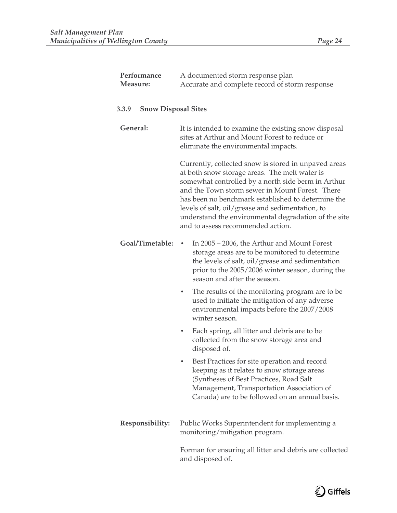| Performance<br>Measure:             | A documented storm response plan<br>Accurate and complete record of storm response                                                                                                                                                                                                                                                                                                                                    |
|-------------------------------------|-----------------------------------------------------------------------------------------------------------------------------------------------------------------------------------------------------------------------------------------------------------------------------------------------------------------------------------------------------------------------------------------------------------------------|
| <b>Snow Disposal Sites</b><br>3.3.9 |                                                                                                                                                                                                                                                                                                                                                                                                                       |
| General:                            | It is intended to examine the existing snow disposal<br>sites at Arthur and Mount Forest to reduce or<br>eliminate the environmental impacts.                                                                                                                                                                                                                                                                         |
|                                     | Currently, collected snow is stored in unpaved areas<br>at both snow storage areas. The melt water is<br>somewhat controlled by a north side berm in Arthur<br>and the Town storm sewer in Mount Forest. There<br>has been no benchmark established to determine the<br>levels of salt, oil/grease and sedimentation, to<br>understand the environmental degradation of the site<br>and to assess recommended action. |
| Goal/Timetable:                     | In 2005 – 2006, the Arthur and Mount Forest<br>٠<br>storage areas are to be monitored to determine<br>the levels of salt, oil/grease and sedimentation<br>prior to the 2005/2006 winter season, during the<br>season and after the season.                                                                                                                                                                            |
|                                     | The results of the monitoring program are to be<br>٠<br>used to initiate the mitigation of any adverse<br>environmental impacts before the 2007/2008<br>winter season.                                                                                                                                                                                                                                                |
|                                     | Each spring, all litter and debris are to be<br>٠<br>collected from the snow storage area and<br>disposed of.                                                                                                                                                                                                                                                                                                         |
|                                     | Best Practices for site operation and record<br>keeping as it relates to snow storage areas<br>(Syntheses of Best Practices, Road Salt<br>Management, Transportation Association of<br>Canada) are to be followed on an annual basis.                                                                                                                                                                                 |
| Responsibility:                     | Public Works Superintendent for implementing a<br>monitoring/mitigation program.                                                                                                                                                                                                                                                                                                                                      |
|                                     | Forman for ensuring all litter and debris are collected<br>and disposed of.                                                                                                                                                                                                                                                                                                                                           |

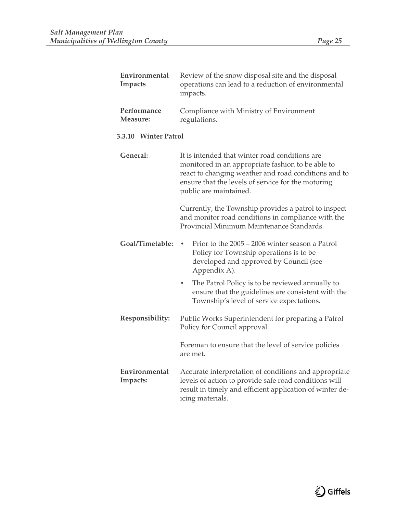| Environmental<br><b>Impacts</b> | Review of the snow disposal site and the disposal<br>operations can lead to a reduction of environmental<br>impacts.                                                                                                                        |
|---------------------------------|---------------------------------------------------------------------------------------------------------------------------------------------------------------------------------------------------------------------------------------------|
| Performance<br>Measure:         | Compliance with Ministry of Environment<br>regulations.                                                                                                                                                                                     |
| 3.3.10 Winter Patrol            |                                                                                                                                                                                                                                             |
| General:                        | It is intended that winter road conditions are<br>monitored in an appropriate fashion to be able to<br>react to changing weather and road conditions and to<br>ensure that the levels of service for the motoring<br>public are maintained. |
|                                 | Currently, the Township provides a patrol to inspect<br>and monitor road conditions in compliance with the<br>Provincial Minimum Maintenance Standards.                                                                                     |
| Goal/Timetable:                 | Prior to the 2005 - 2006 winter season a Patrol<br>Policy for Township operations is to be<br>developed and approved by Council (see<br>Appendix A).                                                                                        |
|                                 | The Patrol Policy is to be reviewed annually to<br>$\bullet$<br>ensure that the guidelines are consistent with the<br>Township's level of service expectations.                                                                             |
| Responsibility:                 | Public Works Superintendent for preparing a Patrol<br>Policy for Council approval.                                                                                                                                                          |
|                                 | Foreman to ensure that the level of service policies<br>are met.                                                                                                                                                                            |
| Environmental<br>Impacts:       | Accurate interpretation of conditions and appropriate<br>levels of action to provide safe road conditions will<br>result in timely and efficient application of winter de-<br>icing materials.                                              |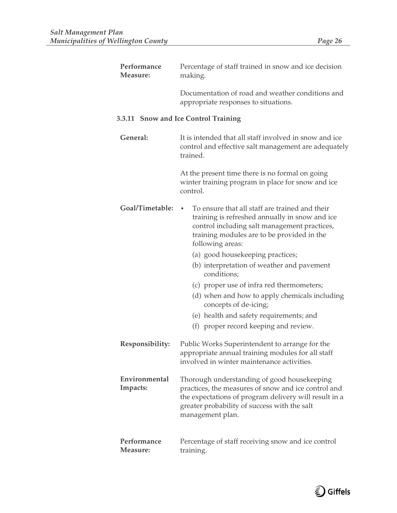| Performance<br>Measure:   | Percentage of staff trained in snow and ice decision<br>making.                                                                                                                                                                 |
|---------------------------|---------------------------------------------------------------------------------------------------------------------------------------------------------------------------------------------------------------------------------|
|                           | Documentation of road and weather conditions and<br>appropriate responses to situations.                                                                                                                                        |
|                           | 3.3.11 Snow and Ice Control Training                                                                                                                                                                                            |
| General:                  | It is intended that all staff involved in snow and ice<br>control and effective salt management are adequately<br>trained.                                                                                                      |
|                           | At the present time there is no formal on going<br>winter training program in place for snow and ice<br>control.                                                                                                                |
| Goal/Timetable:           | To ensure that all staff are trained and their<br>training is refreshed annually in snow and ice<br>control including salt management practices,<br>training modules are to be provided in the<br>following areas:              |
|                           | (a) good housekeeping practices;<br>(b) interpretation of weather and pavement                                                                                                                                                  |
|                           | conditions;                                                                                                                                                                                                                     |
|                           | (c) proper use of infra red thermometers;<br>(d) when and how to apply chemicals including<br>concepts of de-icing;                                                                                                             |
|                           | (e) health and safety requirements; and                                                                                                                                                                                         |
|                           | (f) proper record keeping and review.                                                                                                                                                                                           |
| Responsibility:           | Public Works Superintendent to arrange for the<br>appropriate annual training modules for all staff<br>involved in winter maintenance activities.                                                                               |
| Environmental<br>Impacts: | Thorough understanding of good housekeeping<br>practices, the measures of snow and ice control and<br>the expectations of program delivery will result in a<br>greater probability of success with the salt<br>management plan. |
| Performance<br>Measure:   | Percentage of staff receiving snow and ice control<br>training.                                                                                                                                                                 |

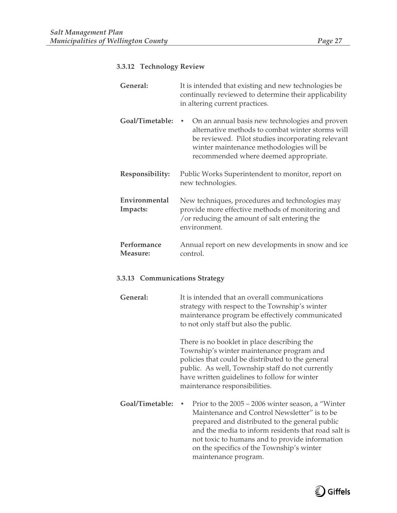# **3.3.12 Technology Review**

| General:                  | It is intended that existing and new technologies be<br>continually reviewed to determine their applicability<br>in altering current practices.                                                                                              |
|---------------------------|----------------------------------------------------------------------------------------------------------------------------------------------------------------------------------------------------------------------------------------------|
| Goal/Timetable:           | On an annual basis new technologies and proven<br>alternative methods to combat winter storms will<br>be reviewed. Pilot studies incorporating relevant<br>winter maintenance methodologies will be<br>recommended where deemed appropriate. |
| Responsibility:           | Public Works Superintendent to monitor, report on<br>new technologies.                                                                                                                                                                       |
| Environmental<br>Impacts: | New techniques, procedures and technologies may<br>provide more effective methods of monitoring and<br>or reducing the amount of salt entering the<br>environment.                                                                           |
| Performance<br>Measure:   | Annual report on new developments in snow and ice<br>control.                                                                                                                                                                                |

# **3.3.13 Communications Strategy**

| General:        | It is intended that an overall communications<br>strategy with respect to the Township's winter<br>maintenance program be effectively communicated<br>to not only staff but also the public.                                                                                                                                              |
|-----------------|-------------------------------------------------------------------------------------------------------------------------------------------------------------------------------------------------------------------------------------------------------------------------------------------------------------------------------------------|
|                 | There is no booklet in place describing the<br>Township's winter maintenance program and<br>policies that could be distributed to the general<br>public. As well, Township staff do not currently<br>have written guidelines to follow for winter<br>maintenance responsibilities.                                                        |
| Goal/Timetable: | Prior to the $2005 - 2006$ winter season, a "Winter"<br>٠<br>Maintenance and Control Newsletter" is to be<br>prepared and distributed to the general public<br>and the media to inform residents that road salt is<br>not toxic to humans and to provide information<br>on the specifics of the Township's winter<br>maintenance program. |

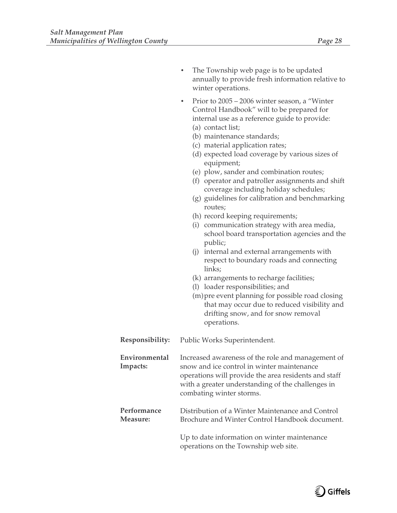|                           | The Township web page is to be updated<br>annually to provide fresh information relative to<br>winter operations.                                                                                                                                                                                                                                                                                                                                                                                                                                                                                                                                                                                                                                                                                                                                                                                                                                                                                     |
|---------------------------|-------------------------------------------------------------------------------------------------------------------------------------------------------------------------------------------------------------------------------------------------------------------------------------------------------------------------------------------------------------------------------------------------------------------------------------------------------------------------------------------------------------------------------------------------------------------------------------------------------------------------------------------------------------------------------------------------------------------------------------------------------------------------------------------------------------------------------------------------------------------------------------------------------------------------------------------------------------------------------------------------------|
|                           | Prior to 2005 – 2006 winter season, a "Winter<br>Control Handbook" will to be prepared for<br>internal use as a reference guide to provide:<br>(a) contact list;<br>(b) maintenance standards;<br>(c) material application rates;<br>(d) expected load coverage by various sizes of<br>equipment;<br>(e) plow, sander and combination routes;<br>(f) operator and patroller assignments and shift<br>coverage including holiday schedules;<br>(g) guidelines for calibration and benchmarking<br>routes;<br>(h) record keeping requirements;<br>(i) communication strategy with area media,<br>school board transportation agencies and the<br>public;<br>(j) internal and external arrangements with<br>respect to boundary roads and connecting<br>links;<br>(k) arrangements to recharge facilities;<br>(l) loader responsibilities; and<br>(m) pre event planning for possible road closing<br>that may occur due to reduced visibility and<br>drifting snow, and for snow removal<br>operations. |
| Responsibility:           | Public Works Superintendent.                                                                                                                                                                                                                                                                                                                                                                                                                                                                                                                                                                                                                                                                                                                                                                                                                                                                                                                                                                          |
| Environmental<br>Impacts: | Increased awareness of the role and management of<br>snow and ice control in winter maintenance<br>operations will provide the area residents and staff<br>with a greater understanding of the challenges in<br>combating winter storms.                                                                                                                                                                                                                                                                                                                                                                                                                                                                                                                                                                                                                                                                                                                                                              |
| Performance<br>Measure:   | Distribution of a Winter Maintenance and Control<br>Brochure and Winter Control Handbook document.                                                                                                                                                                                                                                                                                                                                                                                                                                                                                                                                                                                                                                                                                                                                                                                                                                                                                                    |
|                           | Up to date information on winter maintenance<br>operations on the Township web site.                                                                                                                                                                                                                                                                                                                                                                                                                                                                                                                                                                                                                                                                                                                                                                                                                                                                                                                  |

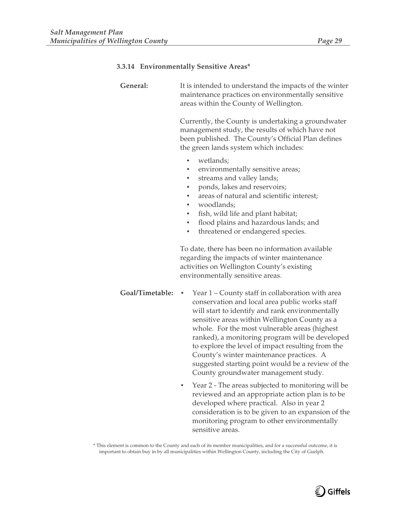# **3.3.14 Environmentally Sensitive Areas\***

| General:        | It is intended to understand the impacts of the winter<br>maintenance practices on environmentally sensitive<br>areas within the County of Wellington.<br>Currently, the County is undertaking a groundwater<br>management study, the results of which have not<br>been published. The County's Official Plan defines<br>the green lands system which includes:<br>wetlands;<br>$\bullet$<br>environmentally sensitive areas;<br>streams and valley lands;<br>$\bullet$<br>ponds, lakes and reservoirs;<br>٠<br>areas of natural and scientific interest;<br>woodlands;<br>$\bullet$<br>fish, wild life and plant habitat;<br>$\bullet$<br>flood plains and hazardous lands; and<br>$\bullet$<br>threatened or endangered species.<br>٠<br>To date, there has been no information available<br>regarding the impacts of winter maintenance<br>activities on Wellington County's existing<br>environmentally sensitive areas. |
|-----------------|------------------------------------------------------------------------------------------------------------------------------------------------------------------------------------------------------------------------------------------------------------------------------------------------------------------------------------------------------------------------------------------------------------------------------------------------------------------------------------------------------------------------------------------------------------------------------------------------------------------------------------------------------------------------------------------------------------------------------------------------------------------------------------------------------------------------------------------------------------------------------------------------------------------------------|
| Goal/Timetable: | Year 1 – County staff in collaboration with area<br>٠<br>conservation and local area public works staff<br>will start to identify and rank environmentally<br>sensitive areas within Wellington County as a<br>whole. For the most vulnerable areas (highest<br>ranked), a monitoring program will be developed<br>to explore the level of impact resulting from the<br>County's winter maintenance practices. A<br>suggested starting point would be a review of the<br>County groundwater management study.<br>Year 2 - The areas subjected to monitoring will be<br>٠<br>reviewed and an appropriate action plan is to be<br>developed where practical. Also in year 2<br>consideration is to be given to an expansion of the<br>monitoring program to other environmentally<br>sensitive areas.                                                                                                                          |

\* This element is common to the County and each of its member municipalities, and for a successful outcome, it is important to obtain buy in by all municipalities within Wellington County, including the City of Guelph.

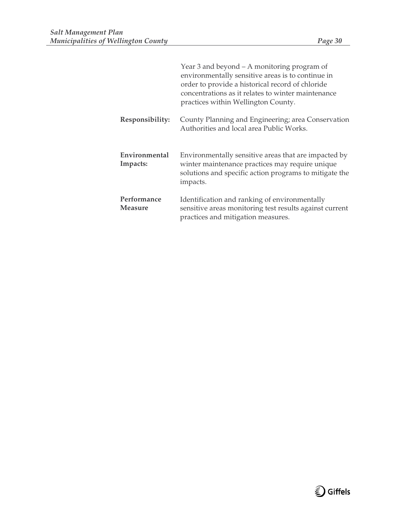|                               | Year 3 and beyond – A monitoring program of<br>environmentally sensitive areas is to continue in<br>order to provide a historical record of chloride<br>concentrations as it relates to winter maintenance<br>practices within Wellington County. |
|-------------------------------|---------------------------------------------------------------------------------------------------------------------------------------------------------------------------------------------------------------------------------------------------|
| Responsibility:               | County Planning and Engineering; area Conservation<br>Authorities and local area Public Works.                                                                                                                                                    |
| Environmental<br>Impacts:     | Environmentally sensitive areas that are impacted by<br>winter maintenance practices may require unique<br>solutions and specific action programs to mitigate the<br>impacts.                                                                     |
| Performance<br><b>Measure</b> | Identification and ranking of environmentally<br>sensitive areas monitoring test results against current<br>practices and mitigation measures.                                                                                                    |